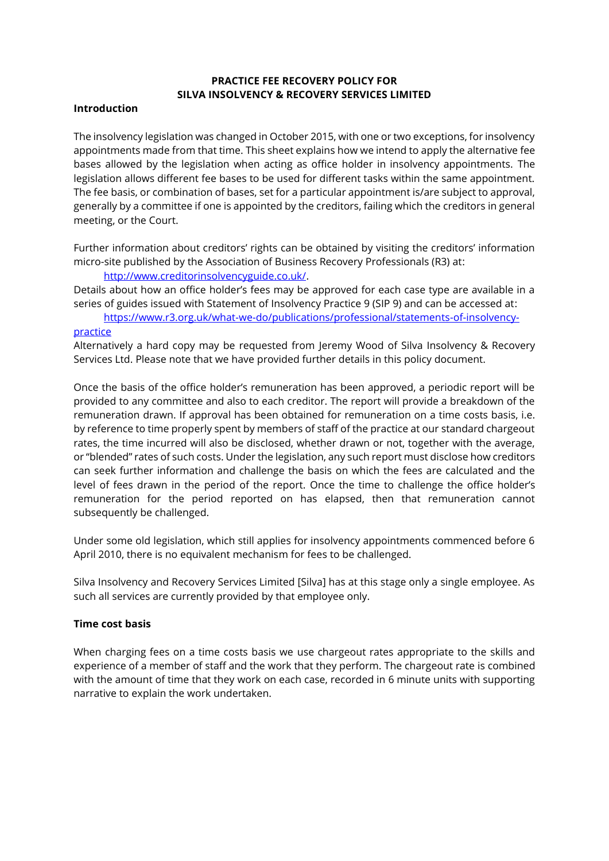## **PRACTICE FEE RECOVERY POLICY FOR SILVA INSOLVENCY & RECOVERY SERVICES LIMITED**

#### **Introduction**

The insolvency legislation was changed in October 2015, with one or two exceptions, for insolvency appointments made from that time. This sheet explains how we intend to apply the alternative fee bases allowed by the legislation when acting as office holder in insolvency appointments. The legislation allows different fee bases to be used for different tasks within the same appointment. The fee basis, or combination of bases, set for a particular appointment is/are subject to approval, generally by a committee if one is appointed by the creditors, failing which the creditors in general meeting, or the Court.

Further information about creditors' rights can be obtained by visiting the creditors' information micro-site published by the Association of Business Recovery Professionals (R3) at:

[http://www.creditorinsolvencyguide.co.uk/.](http://www.creditorinsolvencyguide.co.uk/)

Details about how an office holder's fees may be approved for each case type are available in a series of guides issued with Statement of Insolvency Practice 9 (SIP 9) and can be accessed at:

[https://www.r3.org.uk/what-we-do/publications/professional/statements-of-insolvency](https://www.r3.org.uk/what-we-do/publications/professional/statements-of-insolvency-practice)[practice](https://www.r3.org.uk/what-we-do/publications/professional/statements-of-insolvency-practice)

Alternatively a hard copy may be requested from Jeremy Wood of Silva Insolvency & Recovery Services Ltd. Please note that we have provided further details in this policy document.

Once the basis of the office holder's remuneration has been approved, a periodic report will be provided to any committee and also to each creditor. The report will provide a breakdown of the remuneration drawn. If approval has been obtained for remuneration on a time costs basis, i.e. by reference to time properly spent by members of staff of the practice at our standard chargeout rates, the time incurred will also be disclosed, whether drawn or not, together with the average, or "blended" rates of such costs. Under the legislation, any such report must disclose how creditors can seek further information and challenge the basis on which the fees are calculated and the level of fees drawn in the period of the report. Once the time to challenge the office holder's remuneration for the period reported on has elapsed, then that remuneration cannot subsequently be challenged.

Under some old legislation, which still applies for insolvency appointments commenced before 6 April 2010, there is no equivalent mechanism for fees to be challenged.

Silva Insolvency and Recovery Services Limited [Silva] has at this stage only a single employee. As such all services are currently provided by that employee only.

## **Time cost basis**

When charging fees on a time costs basis we use chargeout rates appropriate to the skills and experience of a member of staff and the work that they perform. The chargeout rate is combined with the amount of time that they work on each case, recorded in 6 minute units with supporting narrative to explain the work undertaken.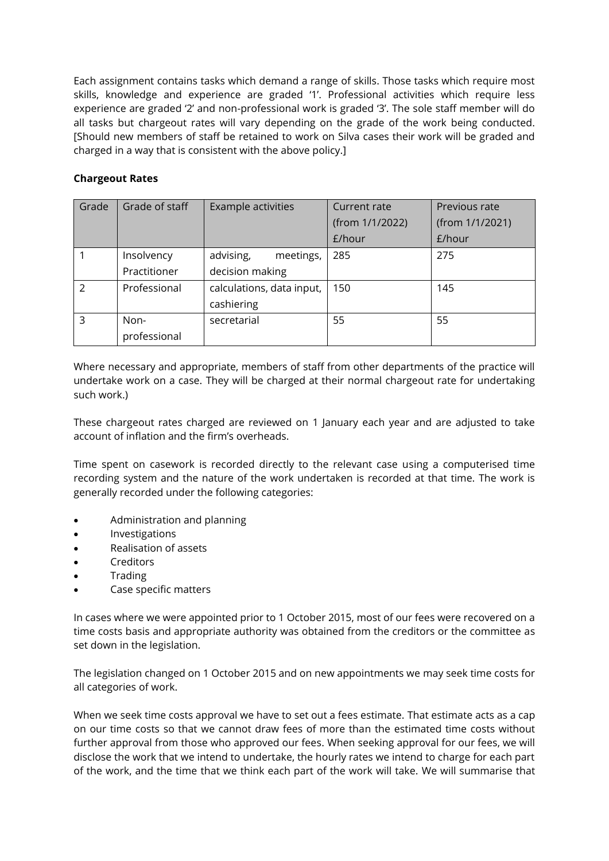Each assignment contains tasks which demand a range of skills. Those tasks which require most skills, knowledge and experience are graded '1'. Professional activities which require less experience are graded '2' and non-professional work is graded '3'. The sole staff member will do all tasks but chargeout rates will vary depending on the grade of the work being conducted. [Should new members of staff be retained to work on Silva cases their work will be graded and charged in a way that is consistent with the above policy.]

# **Chargeout Rates**

| Grade         | Grade of staff | <b>Example activities</b> | Current rate    | Previous rate   |
|---------------|----------------|---------------------------|-----------------|-----------------|
|               |                |                           | (from 1/1/2022) | (from 1/1/2021) |
|               |                |                           | £/hour          | £/hour          |
|               | Insolvency     | advising,<br>meetings,    | 285             | 275             |
|               | Practitioner   | decision making           |                 |                 |
| $\mathcal{P}$ | Professional   | calculations, data input, | 150             | 145             |
|               |                | cashiering                |                 |                 |
| 3             | Non-           | secretarial               | 55              | 55              |
|               | professional   |                           |                 |                 |

Where necessary and appropriate, members of staff from other departments of the practice will undertake work on a case. They will be charged at their normal chargeout rate for undertaking such work.)

These chargeout rates charged are reviewed on 1 January each year and are adjusted to take account of inflation and the firm's overheads.

Time spent on casework is recorded directly to the relevant case using a computerised time recording system and the nature of the work undertaken is recorded at that time. The work is generally recorded under the following categories:

- Administration and planning
- **Investigations**
- Realisation of assets
- **Creditors**
- **Trading**
- Case specific matters

In cases where we were appointed prior to 1 October 2015, most of our fees were recovered on a time costs basis and appropriate authority was obtained from the creditors or the committee as set down in the legislation.

The legislation changed on 1 October 2015 and on new appointments we may seek time costs for all categories of work.

When we seek time costs approval we have to set out a fees estimate. That estimate acts as a cap on our time costs so that we cannot draw fees of more than the estimated time costs without further approval from those who approved our fees. When seeking approval for our fees, we will disclose the work that we intend to undertake, the hourly rates we intend to charge for each part of the work, and the time that we think each part of the work will take. We will summarise that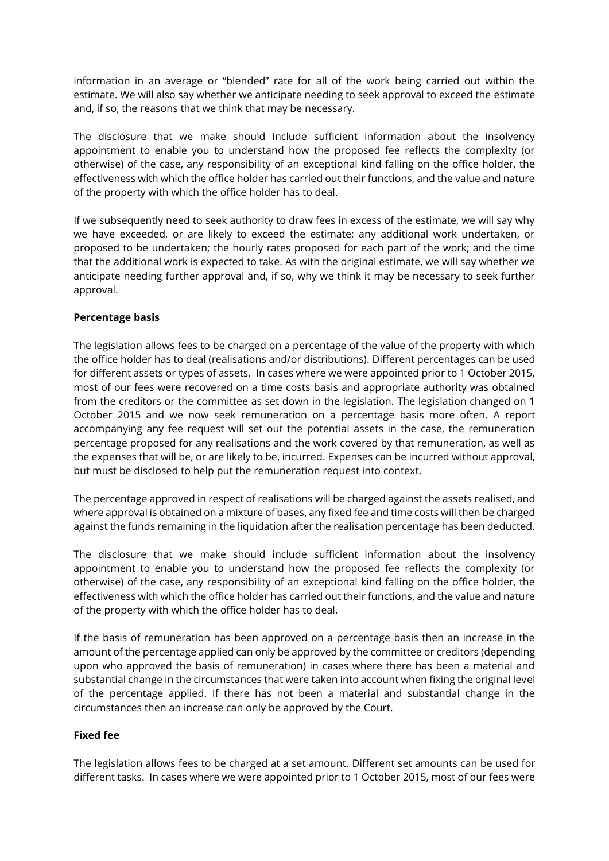information in an average or "blended" rate for all of the work being carried out within the estimate. We will also say whether we anticipate needing to seek approval to exceed the estimate and, if so, the reasons that we think that may be necessary.

The disclosure that we make should include sufficient information about the insolvency appointment to enable you to understand how the proposed fee reflects the complexity (or otherwise) of the case, any responsibility of an exceptional kind falling on the office holder, the effectiveness with which the office holder has carried out their functions, and the value and nature of the property with which the office holder has to deal.

If we subsequently need to seek authority to draw fees in excess of the estimate, we will say why we have exceeded, or are likely to exceed the estimate; any additional work undertaken, or proposed to be undertaken; the hourly rates proposed for each part of the work; and the time that the additional work is expected to take. As with the original estimate, we will say whether we anticipate needing further approval and, if so, why we think it may be necessary to seek further approval.

#### **Percentage basis**

The legislation allows fees to be charged on a percentage of the value of the property with which the office holder has to deal (realisations and/or distributions). Different percentages can be used for different assets or types of assets. In cases where we were appointed prior to 1 October 2015, most of our fees were recovered on a time costs basis and appropriate authority was obtained from the creditors or the committee as set down in the legislation. The legislation changed on 1 October 2015 and we now seek remuneration on a percentage basis more often. A report accompanying any fee request will set out the potential assets in the case, the remuneration percentage proposed for any realisations and the work covered by that remuneration, as well as the expenses that will be, or are likely to be, incurred. Expenses can be incurred without approval, but must be disclosed to help put the remuneration request into context.

The percentage approved in respect of realisations will be charged against the assets realised, and where approval is obtained on a mixture of bases, any fixed fee and time costs will then be charged against the funds remaining in the liquidation after the realisation percentage has been deducted.

The disclosure that we make should include sufficient information about the insolvency appointment to enable you to understand how the proposed fee reflects the complexity (or otherwise) of the case, any responsibility of an exceptional kind falling on the office holder, the effectiveness with which the office holder has carried out their functions, and the value and nature of the property with which the office holder has to deal.

If the basis of remuneration has been approved on a percentage basis then an increase in the amount of the percentage applied can only be approved by the committee or creditors (depending upon who approved the basis of remuneration) in cases where there has been a material and substantial change in the circumstances that were taken into account when fixing the original level of the percentage applied. If there has not been a material and substantial change in the circumstances then an increase can only be approved by the Court.

## **Fixed fee**

The legislation allows fees to be charged at a set amount. Different set amounts can be used for different tasks. In cases where we were appointed prior to 1 October 2015, most of our fees were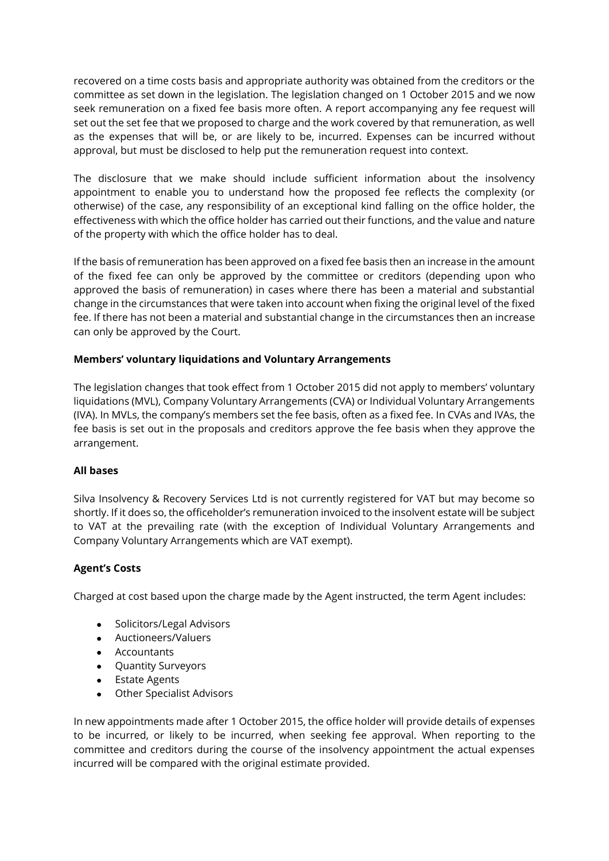recovered on a time costs basis and appropriate authority was obtained from the creditors or the committee as set down in the legislation. The legislation changed on 1 October 2015 and we now seek remuneration on a fixed fee basis more often. A report accompanying any fee request will set out the set fee that we proposed to charge and the work covered by that remuneration, as well as the expenses that will be, or are likely to be, incurred. Expenses can be incurred without approval, but must be disclosed to help put the remuneration request into context.

The disclosure that we make should include sufficient information about the insolvency appointment to enable you to understand how the proposed fee reflects the complexity (or otherwise) of the case, any responsibility of an exceptional kind falling on the office holder, the effectiveness with which the office holder has carried out their functions, and the value and nature of the property with which the office holder has to deal.

If the basis of remuneration has been approved on a fixed fee basis then an increase in the amount of the fixed fee can only be approved by the committee or creditors (depending upon who approved the basis of remuneration) in cases where there has been a material and substantial change in the circumstances that were taken into account when fixing the original level of the fixed fee. If there has not been a material and substantial change in the circumstances then an increase can only be approved by the Court.

## **Members' voluntary liquidations and Voluntary Arrangements**

The legislation changes that took effect from 1 October 2015 did not apply to members' voluntary liquidations (MVL), Company Voluntary Arrangements (CVA) or Individual Voluntary Arrangements (IVA). In MVLs, the company's members set the fee basis, often as a fixed fee. In CVAs and IVAs, the fee basis is set out in the proposals and creditors approve the fee basis when they approve the arrangement.

## **All bases**

Silva Insolvency & Recovery Services Ltd is not currently registered for VAT but may become so shortly. If it does so, the officeholder's remuneration invoiced to the insolvent estate will be subject to VAT at the prevailing rate (with the exception of Individual Voluntary Arrangements and Company Voluntary Arrangements which are VAT exempt).

## **Agent's Costs**

Charged at cost based upon the charge made by the Agent instructed, the term Agent includes:

- Solicitors/Legal Advisors
- Auctioneers/Valuers
- Accountants
- Quantity Surveyors
- Estate Agents
- Other Specialist Advisors

In new appointments made after 1 October 2015, the office holder will provide details of expenses to be incurred, or likely to be incurred, when seeking fee approval. When reporting to the committee and creditors during the course of the insolvency appointment the actual expenses incurred will be compared with the original estimate provided.